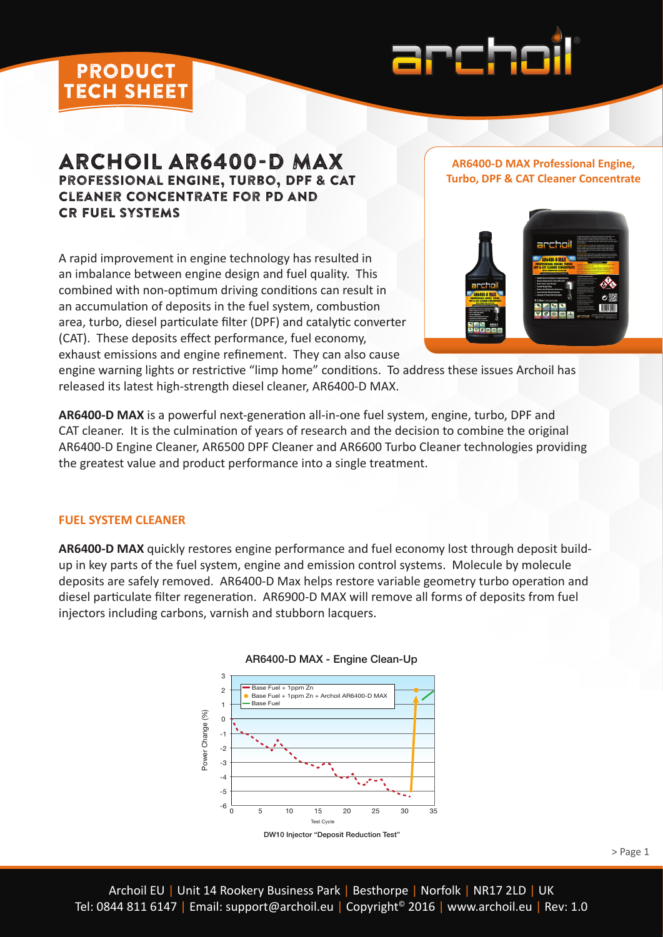

# ARCHOIL AR6400-D MAX Professional Engine, Turbo, DPF & CAT Cleaner Concentrate For PD and CR Fuel systems

A rapid improvement in engine technology has resulted in an imbalance between engine design and fuel quality. This combined with non-optimum driving conditions can result in an accumulation of deposits in the fuel system, combustion area, turbo, diesel particulate filter (DPF) and catalytic converter (CAT). These deposits effect performance, fuel economy, exhaust emissions and engine refinement. They can also cause

#### **AR6400-D MAX Professional Engine, Turbo, DPF & CAT Cleaner Concentrate**



engine warning lights or restrictive "limp home" conditions. To address these issues Archoil has released its latest high-strength diesel cleaner, AR6400-D MAX.

**AR6400-D MAX** is a powerful next-generation all-in-one fuel system, engine, turbo, DPF and CAT cleaner. It is the culmination of years of research and the decision to combine the original AR6400-D Engine Cleaner, AR6500 DPF Cleaner and AR6600 Turbo Cleaner technologies providing the greatest value and product performance into a single treatment.

## **FUEL SYSTEM CLEANER**

product tech sheet

**AR6400-D MAX** quickly restores engine performance and fuel economy lost through deposit buildup in key parts of the fuel system, engine and emission control systems. Molecule by molecule deposits are safely removed. AR6400-D Max helps restore variable geometry turbo operation and diesel particulate filter regeneration. AR6900-D MAX will remove all forms of deposits from fuel injectors including carbons, varnish and stubborn lacquers.



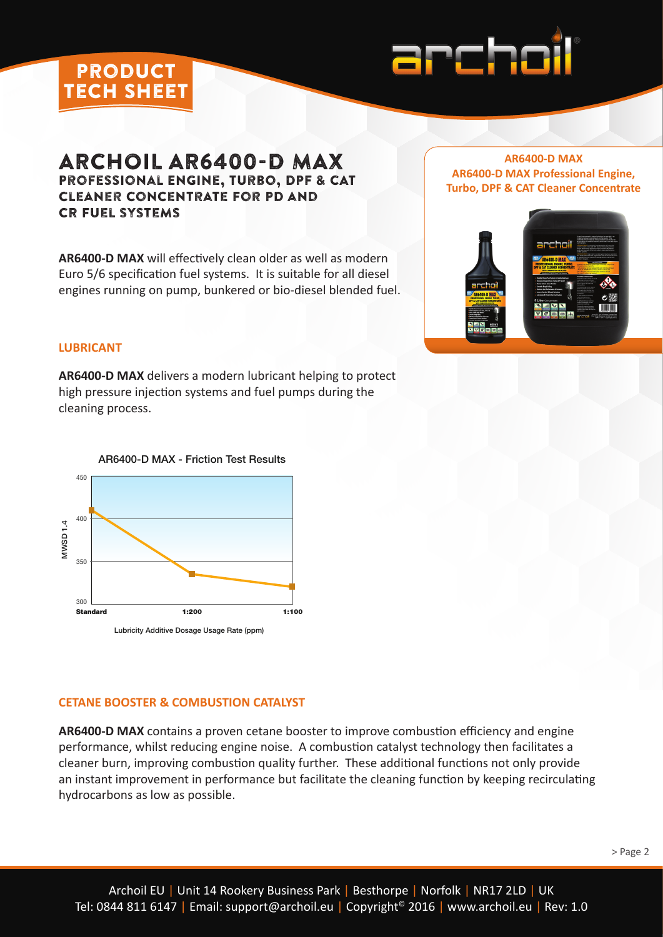

# ARCHOIL AR6400-D MAX Professional Engine, Turbo, DPF & CAT Cleaner Concentrate For PD and CR Fuel systems

**AR6400-D MAX** will effectively clean older as well as modern Euro 5/6 specification fuel systems. It is suitable for all diesel engines running on pump, bunkered or bio-diesel blended fuel.

## **AR6400-D MAX AR6400-D MAX Professional Engine, Turbo, DPF & CAT Cleaner Concentrate**



## **LUBRICANT**

product tech sheet

**AR6400-D MAX** delivers a modern lubricant helping to protect high pressure injection systems and fuel pumps during the cleaning process.



### AR6400-D MAX - Friction Test Results

### **CETANE BOOSTER & COMBUSTION CATALYST**

**AR6400-D MAX** contains a proven cetane booster to improve combustion efficiency and engine performance, whilst reducing engine noise. A combustion catalyst technology then facilitates a cleaner burn, improving combustion quality further. These additional functions not only provide an instant improvement in performance but facilitate the cleaning function by keeping recirculating hydrocarbons as low as possible.